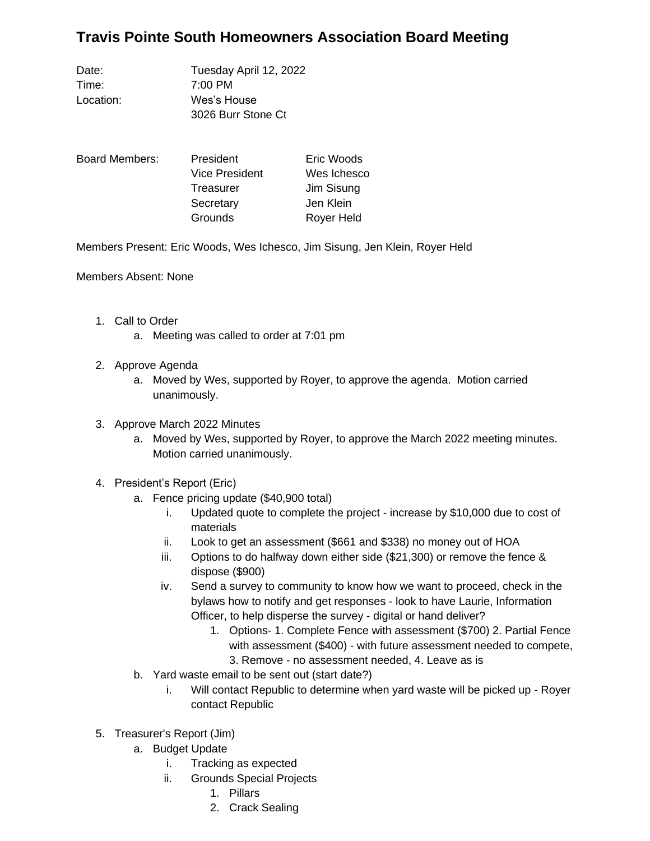## **Travis Pointe South Homeowners Association Board Meeting**

Date: Tuesday April 12, 2022 Time: 7:00 PM Location: Wes's House 3026 Burr Stone Ct

| Board Members: | President             | Eric Woods  |
|----------------|-----------------------|-------------|
|                | <b>Vice President</b> | Wes Ichesco |
|                | <b>Treasurer</b>      | Jim Sisung  |
|                | Secretary             | Jen Klein   |
|                | Grounds               | Royer Held  |

Members Present: Eric Woods, Wes Ichesco, Jim Sisung, Jen Klein, Royer Held

Members Absent: None

- 1. Call to Order
	- a. Meeting was called to order at 7:01 pm
- 2. Approve Agenda
	- a. Moved by Wes, supported by Royer, to approve the agenda. Motion carried unanimously.
- 3. Approve March 2022 Minutes
	- a. Moved by Wes, supported by Royer, to approve the March 2022 meeting minutes. Motion carried unanimously.
- 4. President's Report (Eric)
	- a. Fence pricing update (\$40,900 total)
		- i. Updated quote to complete the project increase by \$10,000 due to cost of materials
		- ii. Look to get an assessment (\$661 and \$338) no money out of HOA
		- iii. Options to do halfway down either side (\$21,300) or remove the fence & dispose (\$900)
		- iv. Send a survey to community to know how we want to proceed, check in the bylaws how to notify and get responses - look to have Laurie, Information Officer, to help disperse the survey - digital or hand deliver?
			- 1. Options- 1. Complete Fence with assessment (\$700) 2. Partial Fence with assessment (\$400) - with future assessment needed to compete, 3. Remove - no assessment needed, 4. Leave as is
	- b. Yard waste email to be sent out (start date?)
		- i. Will contact Republic to determine when yard waste will be picked up Royer contact Republic
- 5. Treasurer's Report (Jim)
	- a. Budget Update
		- i. Tracking as expected
		- ii. Grounds Special Projects
			- 1. Pillars
			- 2. Crack Sealing